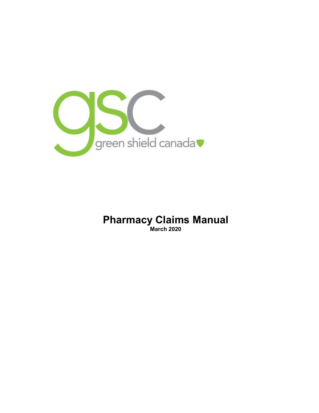

### **Pharmacy Claims Manual March 2020**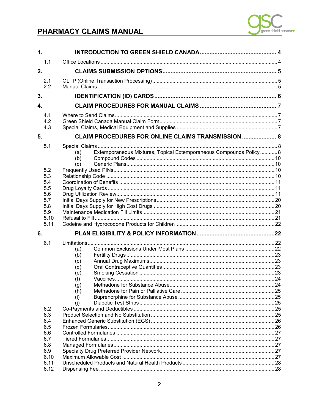

| 1.               |                   |                                                                           |  |  |  |
|------------------|-------------------|---------------------------------------------------------------------------|--|--|--|
|                  | 1.1               |                                                                           |  |  |  |
| 2.               |                   |                                                                           |  |  |  |
|                  |                   |                                                                           |  |  |  |
|                  | 2.1<br>2.2        |                                                                           |  |  |  |
|                  |                   |                                                                           |  |  |  |
| 3.               |                   |                                                                           |  |  |  |
| $\overline{4}$ . |                   |                                                                           |  |  |  |
|                  | 4.1<br>4.2<br>4.3 |                                                                           |  |  |  |
| 5.               |                   | <b>CLAIM PROCEDURES FOR ONLINE CLAIMS TRANSMISSION  8</b>                 |  |  |  |
|                  | 5.1               |                                                                           |  |  |  |
|                  |                   | Extemporaneous Mixtures, Topical Extemporaneous Compounds Policy 8<br>(a) |  |  |  |
|                  |                   | (b)                                                                       |  |  |  |
|                  |                   | (c)                                                                       |  |  |  |
|                  | 5.2               |                                                                           |  |  |  |
|                  | 5.3               |                                                                           |  |  |  |
|                  | 5.4               |                                                                           |  |  |  |
|                  | 5.5               |                                                                           |  |  |  |
|                  | 5.6<br>5.7        |                                                                           |  |  |  |
|                  | 5.8               |                                                                           |  |  |  |
|                  | 5.9               |                                                                           |  |  |  |
|                  | 5.10              |                                                                           |  |  |  |
|                  | 5.11              |                                                                           |  |  |  |
| 6.               |                   |                                                                           |  |  |  |
|                  | 6.1               |                                                                           |  |  |  |
|                  |                   | (a)                                                                       |  |  |  |
|                  |                   | (b)                                                                       |  |  |  |
|                  |                   | (c)                                                                       |  |  |  |
|                  |                   | (d)                                                                       |  |  |  |
|                  |                   | (e)                                                                       |  |  |  |
|                  |                   | (f)                                                                       |  |  |  |
|                  |                   | (g)                                                                       |  |  |  |
|                  |                   | (h)                                                                       |  |  |  |
|                  |                   | (i)                                                                       |  |  |  |
|                  |                   | (i)                                                                       |  |  |  |
|                  | 6.2<br>6.3        |                                                                           |  |  |  |
|                  | 6.4               |                                                                           |  |  |  |
|                  | 6.5               |                                                                           |  |  |  |
|                  | 6.6               |                                                                           |  |  |  |
|                  | 6.7               |                                                                           |  |  |  |
|                  | 6.8               |                                                                           |  |  |  |
|                  | 6.9               |                                                                           |  |  |  |
|                  | 6.10              |                                                                           |  |  |  |
|                  | 6.11              |                                                                           |  |  |  |
|                  | 6.12              |                                                                           |  |  |  |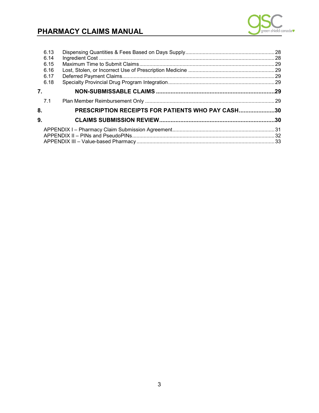

| 6.13 |                                                   |  |
|------|---------------------------------------------------|--|
| 6.14 |                                                   |  |
| 6.15 |                                                   |  |
| 6.16 |                                                   |  |
| 6.17 |                                                   |  |
| 6.18 |                                                   |  |
| 7.   |                                                   |  |
| 7.1  |                                                   |  |
| 8.   | PRESCRIPTION RECEIPTS FOR PATIENTS WHO PAY CASH30 |  |
| 9.   |                                                   |  |
|      |                                                   |  |
|      |                                                   |  |
|      |                                                   |  |
|      |                                                   |  |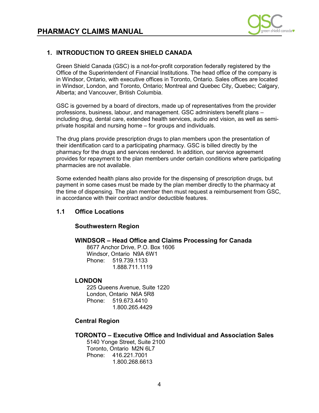

### <span id="page-3-0"></span>**1. INTRODUCTION TO GREEN SHIELD CANADA**

 Green Shield Canada (GSC) is a not-for-profit corporation federally registered by the in Windsor, Ontario, with executive offices in Toronto, Ontario. Sales offices are located in Windsor, London, and Toronto, Ontario; Montreal and Quebec City, Quebec; Calgary, Office of the Superintendent of Financial Institutions. The head office of the company is Alberta; and Vancouver, British Columbia.

GSC is governed by a board of directors, made up of representatives from the provider professions, business, labour, and management. GSC administers benefit plans – including drug, dental care, extended health services, audio and vision, as well as semi private hospital and nursing home – for groups and individuals.

 The drug plans provide prescription drugs to plan members upon the presentation of pharmacy for the drugs and services rendered. In addition, our service agreement provides for repayment to the plan members under certain conditions where participating their identification card to a participating pharmacy. GSC is billed directly by the pharmacies are not available.

 Some extended health plans also provide for the dispensing of prescription drugs, but payment in some cases must be made by the plan member directly to the pharmacy at the time of dispensing. The plan member then must request a reimbursement from GSC, in accordance with their contract and/or deductible features.

### **1.1 Office Locations**

### **Southwestern Region**

### **WINDSOR – Head Office and Claims Processing for Canada**

8677 Anchor Drive, P.O. Box 1606 Windsor, Ontario N9A 6W1 Phone: 519.739.1133 1.888.711.1119

### **LONDON**

225 Queens Avenue, Suite 1220 London, Ontario N6A 5R8 Phone: 519.673.4410 1.800.265.4429

### **Central Region**

### **TORONTO – Executive Office and Individual and Association Sales**

5140 Yonge Street, Suite 2100 Toronto, Ontario M2N 6L7 Phone: 416.221.7001 1.800.268.6613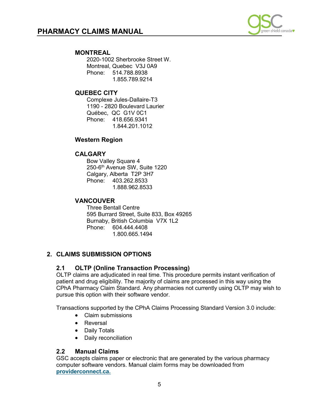

### <span id="page-4-0"></span>**MONTREAL**

2020-1002 Sherbrooke Street W. Montreal, Quebec V3J 0A9 Phone: 514.788.8938 1.855.789.9214

### **QUEBEC CITY**

Complexe Jules-Dallaire-T3 1190 - 2820 Boulevard Laurier Québec, QC G1V 0C1 Phone: 418.656.9341 1.844.201.1012

### **Western Region**

### **CALGARY**

Bow Valley Square 4 250-6th Avenue SW, Suite 1220 Calgary, Alberta T2P 3H7 Phone: 403.262.8533 1.888.962.8533

### **VANCOUVER**

Three Bentall Centre 595 Burrard Street, Suite 833, Box 49265 Burnaby, British Columbia V7X 1L2 Phone: 604.444.4408 1.800.665.1494

### **2. CLAIMS SUBMISSION OPTIONS**

### **2.1 OLTP (Online Transaction Processing)**

OLTP claims are adjudicated in real time. This procedure permits instant verification of patient and drug eligibility. The majority of claims are processed in this way using the CPhA Pharmacy Claim Standard. Any pharmacies not currently using OLTP may wish to pursue this option with their software vendor.

Transactions supported by the CPhA Claims Processing Standard Version 3.0 include:

- Claim submissions
- Reversal
- Daily Totals
- Daily reconciliation

### **2.2 Manual Claims**

GSC accepts claims paper or electronic that are generated by the various pharmacy computer software vendors. Manual claim forms may be downloaded from **[providerconnect.ca.](http://www.providerconnect.ca/)**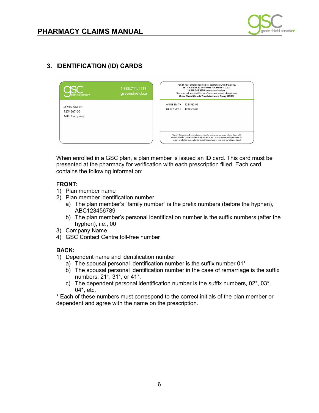

<span id="page-5-0"></span>

 When enrolled in a GSC plan, a plan member is issued an ID card. This card must be presented at the pharmacy for verification with each prescription filled. Each card contains the following information:

### **FRONT:**

- 1) Plan member name
- 2) Plan member identification number
	- a) The plan member's "family number" is the prefix numbers (before the hyphen), ABC123456789
	- b) The plan member's personal identification number is the suffix numbers (after the hyphen), i.e., 00
- 3) Company Name
- 4) GSC Contact Centre toll-free number

### **BACK:**

- 1) Dependent name and identification number
	- a) The spousal personal identification number is the suffix number 01\*
	- b) The spousal personal identification number in the case of remarriage is the suffix numbers, 21\*, 31\*, or 41\*.
	- c) The dependent personal identification number is the suffix numbers, 02\*, 03\*, 04\*, etc.

\* Each of these numbers must correspond to the correct initials of the plan member or dependent and agree with the name on the prescription.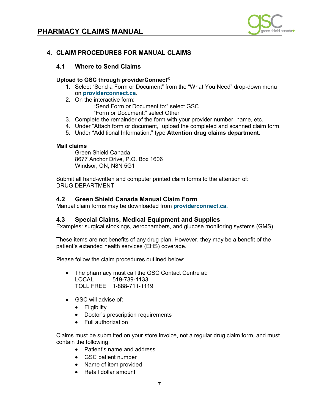

### <span id="page-6-0"></span>**4. CLAIM PROCEDURES FOR MANUAL CLAIMS**

### **4.1 Where to Send Claims**

### **Upload to GSC through providerConnect®**

- 1. Select "Send a Form or Document" from the "What You Need" drop-down menu on **[providerconnect.ca](http://www.providerconnect.ca/)**.
- 2. On the interactive form:
	- "Send Form or Document to:" select GSC
	- "Form or Document:" select Other
- 3. Complete the remainder of the form with your provider number, name, etc.
- 4. Under "Attach form or document," upload the completed and scanned claim form.
- 5. Under "Additional Information," type **Attention drug claims department**.

### **Mail claims**

Green Shield Canada 8677 Anchor Drive, P.O. Box 1606 Windsor, ON, N8N 5G1

Submit all hand-written and computer printed claim forms to the attention of: DRUG DEPARTMENT

### **4.2 Green Shield Canada Manual Claim Form**

Manual claim forms may be downloaded from **[providerconnect.ca.](http://www.providerconnect.ca/)** 

### **4.3 Special Claims, Medical Equipment and Supplies**

Examples: surgical stockings, aerochambers, and glucose monitoring systems (GMS)

These items are not benefits of any drug plan. However, they may be a benefit of the patient's extended health services (EHS) coverage.

Please follow the claim procedures outlined below:

- The pharmacy must call the GSC Contact Centre at: LOCAL 519-739-1133 TOLL FREE 1-888-711-1119
- GSC will advise of:
	- Eligibility
	- Doctor's prescription requirements
	- Full authorization

Claims must be submitted on your store invoice, not a regular drug claim form, and must contain the following:

- Patient's name and address
- GSC patient number
- Name of item provided
- Retail dollar amount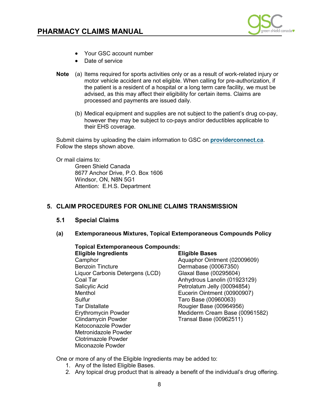

- <span id="page-7-0"></span>• Your GSC account number
- Date of service
- **Note** (a) Items required for sports activities only or as a result of work-related injury or motor vehicle accident are not eligible. When calling for pre-authorization, if the patient is a resident of a hospital or a long term care facility, we must be advised, as this may affect their eligibility for certain items. Claims are processed and payments are issued daily.
	- (b) Medical equipment and supplies are not subject to the patient's drug co-pay, however they may be subject to co-pays and/or deductibles applicable to their EHS coverage.

Submit claims by uploading the claim information to GSC on **[providerconnect.ca](http://www.providerconnect.ca/)**. Follow the steps shown above.

Or mail claims to:

Green Shield Canada 8677 Anchor Drive, P.O. Box 1606 Windsor, ON, N8N 5G1 Attention: E.H.S. Department

### **5. CLAIM PROCEDURES FOR ONLINE CLAIMS TRANSMISSION**

### **5.1 Special Claims**

### **(a) Extemporaneous Mixtures, Topical Extemporaneous Compounds Policy**

### **Topical Extemporaneous Compounds:**

**Eligible Ingredients Eligible Bases**  Camphor<br>Benzoin Tincture **Campion Control (02009609)**<br>Dermabase (00067350) Dermabase (00067350)<br>Glaxal Base (00295604) Liquor Carbonis Detergens (LCD) Coal Tar (01923129)<br>
Salicylic Acid (00094854)<br>
Coal Tar Anhydrous Lanolin (01923129) Salicylic Acid Petrolatum Jelly (00094854) Eucerin Ointment (00900907) Sulfur Taro Base (00960063) Tar Distallate Rougier Base (00964956) Erythromycin Powder Mediderm Cream Base (00961582)<br>Clindamycin Powder Clindamycin Powder Transal Base (00962511) Ketoconazole Powder Metronidazole Powder Clotrimazole Powder Miconazole Powder

One or more of any of the Eligible Ingredients may be added to:

- 1. Any of the listed Eligible Bases.
- 2. Any topical drug product that is already a benefit of the individual's drug offering.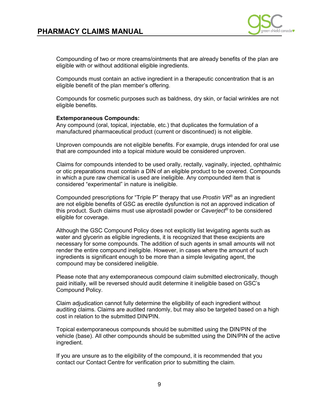

 Compounding of two or more creams/ointments that are already benefits of the plan are eligible with or without additional eligible ingredients.

 Compounds must contain an active ingredient in a therapeutic concentration that is an eligible benefit of the plan member's offering.

 Compounds for cosmetic purposes such as baldness, dry skin, or facial wrinkles are not eligible benefits.

### **Extemporaneous Compounds:**

 Any compound (oral, topical, injectable, etc.) that duplicates the formulation of a manufactured pharmaceutical product (current or discontinued) is not eligible.

Unproven compounds are not eligible benefits. For example, drugs intended for oral use that are compounded into a topical mixture would be considered unproven.

 considered "experimental" in nature is ineligible. Claims for compounds intended to be used orally, rectally, vaginally, injected, ophthalmic or otic preparations must contain a DIN of an eligible product to be covered. Compounds in which a pure raw chemical is used are ineligible. Any compounded item that is

Compounded prescriptions for "Triple P" therapy that use *Prostin VR®* as an ingredient are not eligible benefits of GSC as erectile dysfunction is not an approved indication of this product. Such claims must use alprostadil powder or *Caverject®* to be considered eligible for coverage.

 water and glycerin as eligible ingredients, it is recognized that these excipients are necessary for some compounds. The addition of such agents in small amounts will not ingredients is significant enough to be more than a simple levigating agent, the Although the GSC Compound Policy does not explicitly list levigating agents such as render the entire compound ineligible. However, in cases where the amount of such compound may be considered ineligible.

Please note that any extemporaneous compound claim submitted electronically, though paid initially, will be reversed should audit determine it ineligible based on GSC's Compound Policy.

 auditing claims. Claims are audited randomly, but may also be targeted based on a high cost in relation to the submitted DIN/PIN. Claim adjudication cannot fully determine the eligibility of each ingredient without

 Topical extemporaneous compounds should be submitted using the DIN/PIN of the vehicle (base). All other compounds should be submitted using the DIN/PIN of the active ingredient.

 If you are unsure as to the eligibility of the compound, it is recommended that you contact our Contact Centre for verification prior to submitting the claim.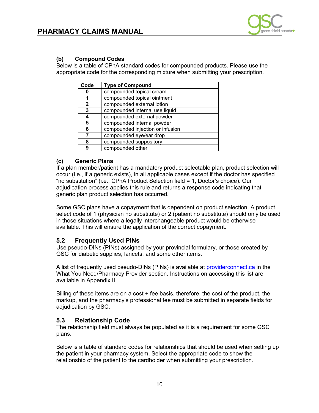

### <span id="page-9-0"></span>**(b) Compound Codes**

Below is a table of CPhA standard codes for compounded products. Please use the appropriate code for the corresponding mixture when submitting your prescription.

| Code                        | <b>Type of Compound</b>          |
|-----------------------------|----------------------------------|
|                             | compounded topical cream         |
| compounded topical ointment |                                  |
| $\mathbf{2}$                | compounded external lotion       |
| 3                           | compounded internal use liquid   |
|                             | compounded external powder       |
| 5                           | compounded internal powder       |
| 6                           | compounded injection or infusion |
|                             | compounded eye/ear drop          |
| 8                           | compounded suppository           |
| 9                           | compounded other                 |

### **(c) Generic Plans**

If a plan member/patient has a mandatory product selectable plan, product selection will occur (i.e., if a generic exists), in all applicable cases except if the doctor has specified "no substitution" (i.e., CPhA Product Selection field = 1, Doctor's choice). Our adjudication process applies this rule and returns a response code indicating that generic plan product selection has occurred.

Some GSC plans have a copayment that is dependent on product selection. A product select code of 1 (physician no substitute) or 2 (patient no substitute) should only be used in those situations where a legally interchangeable product would be otherwise available. This will ensure the application of the correct copayment.

### **5.2 Frequently Used PINs**

Use pseudo-DINs (PINs) assigned by your provincial formulary, or those created by GSC for diabetic supplies, lancets, and some other items.

A list of frequently used pseudo-DINs (PINs) is available at [providerconnect.ca](http://providerconnect.ca/) in the What You Need/Pharmacy Provider section. Instructions on accessing this list are available in Appendix II.

Billing of these items are on a cost + fee basis, therefore, the cost of the product, the markup, and the pharmacy's professional fee must be submitted in separate fields for adjudication by GSC.

### **5.3 Relationship Code**

The relationship field must always be populated as it is a requirement for some GSC plans.

Below is a table of standard codes for relationships that should be used when setting up the patient in your pharmacy system. Select the appropriate code to show the relationship of the patient to the cardholder when submitting your prescription.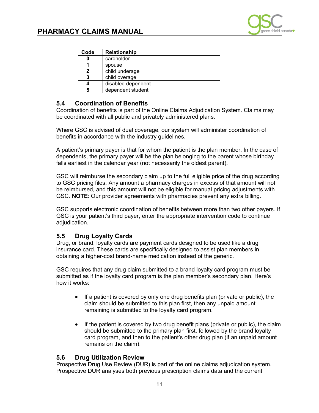

<span id="page-10-0"></span>

| Code | <b>Relationship</b> |
|------|---------------------|
|      | cardholder          |
|      | spouse              |
|      | child underage      |
| 3    | child overage       |
|      | disabled dependent  |
| 5    | dependent student   |

### **5.4 Coordination of Benefits**

 Coordination of benefits is part of the Online Claims Adjudication System. Claims may be coordinated with all public and privately administered plans.

Where GSC is advised of dual coverage, our system will administer coordination of benefits in accordance with the industry guidelines.

 A patient's primary payer is that for whom the patient is the plan member. In the case of dependents, the primary payer will be the plan belonging to the parent whose birthday falls earliest in the calendar year (not necessarily the oldest parent).

 to GSC pricing files. Any amount a pharmacy charges in excess of that amount will not be reimbursed, and this amount will not be eligible for manual pricing adjustments with GSC will reimburse the secondary claim up to the full eligible price of the drug according GSC. **NOTE**: Our provider agreements with pharmacies prevent any extra billing.

 GSC supports electronic coordination of benefits between more than two other payers. If GSC is your patient's third payer, enter the appropriate intervention code to continue adjudication.

### **5.5 Drug Loyalty Cards**

 Drug, or brand, loyalty cards are payment cards designed to be used like a drug insurance card. These cards are specifically designed to assist plan members in obtaining a higher-cost brand-name medication instead of the generic.

 GSC requires that any drug claim submitted to a brand loyalty card program must be submitted as if the loyalty card program is the plan member's secondary plan. Here's how it works:

- • If a patient is covered by only one drug benefits plan (private or public), the claim should be submitted to this plan first, then any unpaid amount remaining is submitted to the loyalty card program.
- • If the patient is covered by two drug benefit plans (private or public), the claim should be submitted to the primary plan first, followed by the brand loyalty card program, and then to the patient's other drug plan (if an unpaid amount remains on the claim).

### **5.6 Drug Utilization Review**

 Prospective Drug Use Review (DUR) is part of the online claims adjudication system. Prospective DUR analyses both previous prescription claims data and the current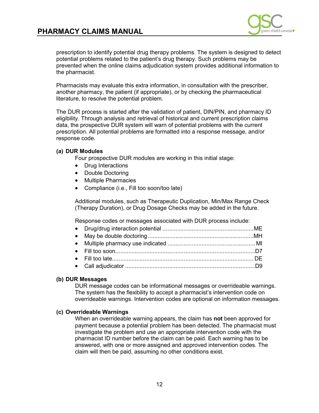

 prescription to identify potential drug therapy problems. The system is designed to detect potential problems related to the patient's drug therapy. Such problems may be prevented when the online claims adjudication system provides additional information to the pharmacist.

 Pharmacists may evaluate this extra information, in consultation with the prescriber, another pharmacy, the patient (if appropriate), or by checking the pharmaceutical literature, to resolve the potential problem.

 The DUR process is started after the validation of patient, DIN/PIN, and pharmacy ID eligibility. Through analysis and retrieval of historical and current prescription claims data, the prospective DUR system will warn of potential problems with the current prescription. All potential problems are formatted into a response message, and/or response code.

### **(a) DUR Modules**

Four prospective DUR modules are working in this initial stage:

- Drug Interactions
- Double Doctoring
- Multiple Pharmacies
- Compliance (i.e., Fill too soon/too late)

Additional modules, such as Therapeutic Duplication, Min/Max Range Check (Therapy Duration), or Drug Dosage Checks may be added in the future.

Response codes or messages associated with DUR process include:

### **(b) DUR Messages**

DUR message codes can be informational messages or overrideable warnings. The system has the flexibility to accept a pharmacist's intervention code on overrideable warnings. Intervention codes are optional on information messages.

### **(c) Overrideable Warnings**

 When an overrideable warning appears, the claim has **not** been approved for payment because a potential problem has been detected. The pharmacist must investigate the problem and use an appropriate intervention code with the pharmacist ID number before the claim can be paid. Each warning has to be answered, with one or more assigned and approved intervention codes. The claim will then be paid, assuming no other conditions exist.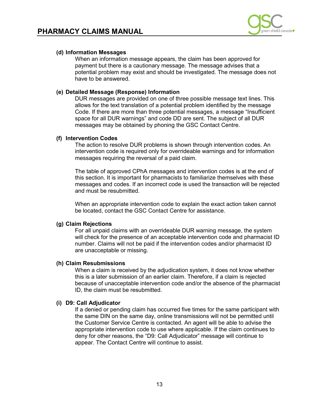

 payment but there is a cautionary message. The message advises that a potential problem may exist and should be investigated. The message does not When an information message appears, the claim has been approved for have to be answered.

### **(e) Detailed Message (Response) Information**

 DUR messages are provided on one of three possible message text lines. This allows for the text translation of a potential problem identified by the message Code. If there are more than three potential messages, a message "Insufficient space for all DUR warnings" and code DD are sent. The subject of all DUR messages may be obtained by phoning the GSC Contact Centre.

### **(f) Intervention Codes**

The action to resolve DUR problems is shown through intervention codes. An intervention code is required only for overrideable warnings and for information messages requiring the reversal of a paid claim.

 The table of approved CPhA messages and intervention codes is at the end of this section. It is important for pharmacists to familiarize themselves with these messages and codes. If an incorrect code is used the transaction will be rejected and must be resubmitted.

 be located, contact the GSC Contact Centre for assistance. When an appropriate intervention code to explain the exact action taken cannot

### **(g) Claim Rejections**

 For all unpaid claims with an overrideable DUR warning message, the system will check for the presence of an acceptable intervention code and pharmacist ID number. Claims will not be paid if the intervention codes and/or pharmacist ID are unacceptable or missing.

### **(h) Claim Resubmissions**

 When a claim is received by the adjudication system, it does not know whether this is a later submission of an earlier claim. Therefore, if a claim is rejected ID, the claim must be resubmitted. because of unacceptable intervention code and/or the absence of the pharmacist

### **(i) D9: Call Adjudicator**

 If a denied or pending claim has occurred five times for the same participant with the Customer Service Centre is contacted. An agent will be able to advise the the same DIN on the same day, online transmissions will not be permitted until appropriate intervention code to use where applicable. If the claim continues to deny for other reasons, the "D9: Call Adjudicator" message will continue to appear. The Contact Centre will continue to assist.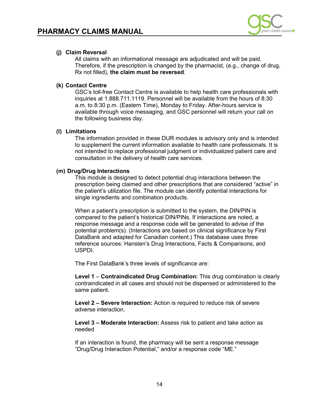

 Rx not filled), **the claim must be reversed**. All claims with an informational message are adjudicated and will be paid. Therefore, if the prescription is changed by the pharmacist, (e.g., change of drug,

### **(k) Contact Centre**

GSC's toll-free Contact Centre is available to help health care professionals with inquiries at 1.888.711.1119. Personnel will be available from the hours of 8:30 a.m. to 8:30 p.m. (Eastern Time), Monday to Friday. After-hours service is available through voice messaging, and GSC personnel will return your call on the following business day.

### **(l) Limitations**

 The information provided in these DUR modules is advisory only and is intended to supplement the current information available to health care professionals. It is not intended to replace professional judgment or individualized patient care and consultation in the delivery of health care services.

### **(m) Drug/Drug Interactions**

 This module is designed to detect potential drug interactions between the the patient's utilization file. The module can identify potential interactions for prescription being claimed and other prescriptions that are considered "active" in single ingredients and combination products.

 When a patient's prescription is submitted to the system, the DIN/PIN is response message and a response code will be generated to advise of the potential problem(s). (Interactions are based on clinical significance by First DataBank and adapted for Canadian content.) This database uses three USPDI. compared to the patient's historical DIN/PINs. If interactions are noted, a reference sources: Hansten's Drug Interactions, Facts & Comparisons, and

USPDI.<br>The First DataBank's three levels of significance are:

 **Level 1** – **Contraindicated Drug Combination:** This drug combination is clearly contraindicated in all cases and should not be dispensed or administered to the same patient.

**Level 2 – Severe Interaction:** Action is required to reduce risk of severe adverse interaction.

 **Level 3 – Moderate Interaction:** Assess risk to patient and take action as needed

If an interaction is found, the pharmacy will be sent a response message "Drug/Drug Interaction Potential," and/or a response code "ME."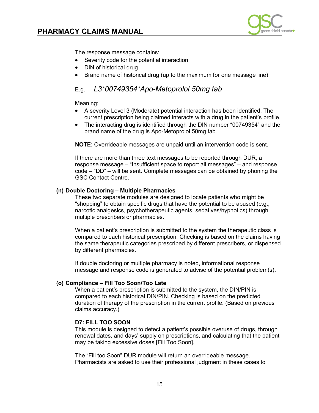

The response message contains:

- Severity code for the potential interaction
- DIN of historical drug
- Brand name of historical drug (up to the maximum for one message line)

### $E.a.$ E.g. *L3\*00749354\*Apo-Metoprolol 50mg tab*

### Meaning:

- • A severity Level 3 (Moderate) potential interaction has been identified. The current prescription being claimed interacts with a drug in the patient's profile.
- brand name of the drug is Apo-Metoprolol 50mg tab. • The interacting drug is identified through the DIN number "00749354" and the

**NOTE**: Overrideable messages are unpaid until an intervention code is sent.

 If there are more than three text messages to be reported through DUR, a response message – "Insufficient space to report all messages" – and response code – "DD" – will be sent. Complete messages can be obtained by phoning the GSC Contact Centre.

### **(n) Double Doctoring – Multiple Pharmacies**

These two separate modules are designed to locate patients who might be "shopping" to obtain specific drugs that have the potential to be abused (e.g., narcotic analgesics, psychotherapeutic agents, sedatives/hypnotics) through multiple prescribers or pharmacies.

 When a patient's prescription is submitted to the system the therapeutic class is compared to each historical prescription. Checking is based on the claims having the same therapeutic categories prescribed by different prescribers, or dispensed by different pharmacies.

 message and response code is generated to advise of the potential problem(s). If double doctoring or multiple pharmacy is noted, informational response

### **(o) Compliance – Fill Too Soon/Too Late**

 duration of therapy of the prescription in the current profile. (Based on previous When a patient's prescription is submitted to the system, the DIN/PIN is compared to each historical DIN/PIN. Checking is based on the predicted claims accuracy.)

### **D7: FILL TOO SOON**

 This module is designed to detect a patient's possible overuse of drugs, through renewal dates, and days' supply on prescriptions, and calculating that the patient may be taking excessive doses [Fill Too Soon].

 The "Fill too Soon" DUR module will return an overrideable message. Pharmacists are asked to use their professional judgment in these cases to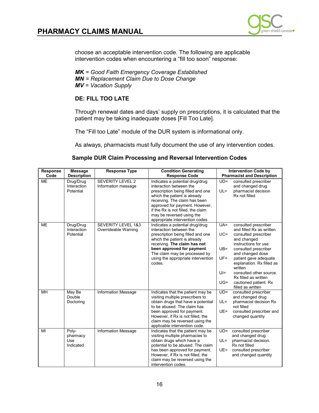

choose an acceptable intervention code. The following are applicable intervention codes when encountering a "fill too soon" response:

 *MV = Vacation Supply MK = Good Faith Emergency Coverage Established MN = Replacement Claim Due to Dose Change* 

### **DE: FILL TOO LATE**

Through renewal dates and days' supply on prescriptions, it is calculated that the patient may be taking inadequate doses [Fill Too Late].

The "Fill too Late" module of the DUR system is informational only.

As always, pharmacists must fully document the use of any intervention codes.

|  |  |  | <b>Sample DUR Claim Processing and Reversal Intervention Codes</b> |
|--|--|--|--------------------------------------------------------------------|
|--|--|--|--------------------------------------------------------------------|

| <b>Response</b> | <b>Message</b>                               | <b>Response Type</b>                           | <b>Condition Generating</b>                                                                                                                                                                                                                                                                             |                                                       | <b>Intervention Code by</b>                                                                                                                                                                                                                                                                                                   |
|-----------------|----------------------------------------------|------------------------------------------------|---------------------------------------------------------------------------------------------------------------------------------------------------------------------------------------------------------------------------------------------------------------------------------------------------------|-------------------------------------------------------|-------------------------------------------------------------------------------------------------------------------------------------------------------------------------------------------------------------------------------------------------------------------------------------------------------------------------------|
| Code            | <b>Description</b>                           |                                                | <b>Response Code</b>                                                                                                                                                                                                                                                                                    |                                                       | <b>Pharmacist and Description</b>                                                                                                                                                                                                                                                                                             |
| <b>ME</b>       | Drug/Drug<br>Interaction<br>Potential        | <b>SEVERITY LEVEL 2</b><br>Information message | Indicates a potential drug/drug<br>interaction between the<br>prescription being filled and one<br>which the patient is already<br>receiving. The claim has been<br>approved for payment. However,<br>if the Rx is not filled, the claim<br>may be reversed using the<br>appropriate intervention codes | $UD =$<br>$UL =$                                      | consulted prescriber<br>and changed drug<br>pharmacist decision<br>Rx not filled                                                                                                                                                                                                                                              |
| <b>ME</b>       | Drug/Drug<br>Interaction<br>Potential        | SEVERITY LEVEL 1&3<br>Overrideable Warning     | Indicates a potential drug/drug<br>interaction between the<br>prescription being filled and one<br>which the patient is already<br>receiving. The claim has not<br>been approved for payment.<br>The claim may be processed by<br>using the appropriate intervention<br>codes.                          | $UA =$<br>$UC =$<br>$UB =$<br>$UF=$<br>$U =$<br>$UG=$ | consulted prescriber<br>and filled Rx as written<br>consulted prescriber<br>and changed<br>instructions for use<br>consulted prescriber<br>and changed dose<br>patient gave adequate<br>explanation. Rx filled as<br>written<br>consulted other source.<br>Rx filled as written<br>cautioned patient. Rx<br>filled as written |
| <b>MH</b>       | May Be<br>Double<br>Doctoring                | <b>Information Message</b>                     | Indicates that the patient may be<br>visiting multiple prescribers to<br>obtain drugs that have a potential<br>to be abused. The claim has<br>been approved for payment.<br>However, if Rx is not filled, the<br>claim may be reversed using the<br>applicable intervention code.                       | $UD =$<br>$UL =$<br>$UE =$                            | consulted prescriber<br>and changed drug<br>pharmacist decision Rx<br>not filled<br>consulted prescriber and<br>changed quantity                                                                                                                                                                                              |
| MI              | Poly-<br>pharmacy<br><b>Use</b><br>Indicated | <b>Information Message</b>                     | Indicates that the patient may be<br>visiting multiple pharmacies to<br>obtain drugs which have a<br>potential to be abused. The claim<br>has been approved for payment.<br>However, if Rx is not filled, the<br>claim may be reversed using the<br>intervention codes.                                 | $UD =$<br>$UL =$<br>$UE =$                            | consulted prescriber<br>and changed drug<br>pharmacist decision.<br>Rx not filled<br>consulted prescriber<br>and changed quantity                                                                                                                                                                                             |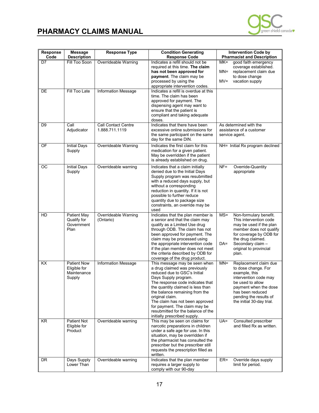

| Response<br>Code | <b>Message</b><br><b>Description</b>                        | <b>Response Type</b>                         | <b>Condition Generating</b><br><b>Response Code</b>                                                                                                                                                                                                                                                                                                                                            | <b>Intervention Code by</b><br><b>Pharmacist and Description</b>                                                                                                                                                                  |
|------------------|-------------------------------------------------------------|----------------------------------------------|------------------------------------------------------------------------------------------------------------------------------------------------------------------------------------------------------------------------------------------------------------------------------------------------------------------------------------------------------------------------------------------------|-----------------------------------------------------------------------------------------------------------------------------------------------------------------------------------------------------------------------------------|
| D7               | Fill Too Soon                                               | Overrideable Warning                         | Indicates a refill should not be<br>required at this time. The claim<br>has not been approved for<br>payment. The claim may be<br>processed by using the<br>appropriate intervention codes.                                                                                                                                                                                                    | good faith emergency<br>$MK=$<br>coverage established.<br>$MN =$<br>replacement claim due<br>to dose change<br>$MV =$<br>vacation supply                                                                                          |
| DE               | Fill Too Late                                               | Information Message                          | Indicates a refill is overdue at this<br>time. The claim has been<br>approved for payment. The<br>dispensing agent may want to<br>ensure that the patient is<br>compliant and taking adequate<br>doses.                                                                                                                                                                                        |                                                                                                                                                                                                                                   |
| D <sub>9</sub>   | Call<br>Adjudicator                                         | <b>Call Contact Centre</b><br>1.888.711.1119 | Indicates that there have been<br>excessive online submissions for<br>the same participant on the same<br>day for the same DIN.                                                                                                                                                                                                                                                                | As determined with the<br>assistance of a customer<br>service agent.                                                                                                                                                              |
| OF               | <b>Initial Days</b><br>Supply                               | Overrideable Warning                         | Indicates the first claim for this<br>medication for a given patient.<br>May be overridden if the patient<br>is already established on drug.                                                                                                                                                                                                                                                   | NH= Initial Rx program declined                                                                                                                                                                                                   |
| ОC               | <b>Initial Days</b><br>Supply                               | Overrideable warning                         | Indicates that a claim initially<br>denied due to the Initial Days<br>Supply program was resubmitted<br>with a reduced days supply, but<br>without a corresponding<br>reduction in quantity. If it is not<br>possible to further reduce<br>quantity due to package size<br>constraints, an override may be<br>used                                                                             | $NF =$<br>Override-Quantity<br>appropriate                                                                                                                                                                                        |
| HD               | <b>Patient May</b><br>Qualify for<br>Government<br>Plan     | Overrideable Warning<br>(Ontario)            | Indicates that the plan member is<br>a senior and that the claim may<br>qualify as a Limited Use drug<br>through ODB. The claim has not<br>been approved for payment. The<br>claim may be processed using<br>the appropriate intervention code<br>if the plan member does not meet<br>the criteria described by ODB for<br>coverage of the drug product.                                       | $MS =$<br>Non-formulary benefit.<br>This intervention code<br>may be used if the plan<br>member does not qualify<br>for coverage by ODB for<br>the drug claimed.<br>$DA=$<br>Secondary claim -<br>original to provincial<br>plan. |
| $\overline{KX}$  | <b>Patient Now</b><br>Eligible for<br>Maintenance<br>Supply | <b>Information Message</b>                   | This message may be seen when<br>a drug claimed was previously<br>reduced due to GSC's Initial<br>Days Supply program.<br>The response code indicates that<br>the quantity claimed is less than<br>the balance remaining from the<br>original claim.<br>The claim has not been approved<br>for payment. The claim may be<br>resubmitted for the balance of the<br>initially prescribed supply. | $MN =$<br>Replacement claim due<br>to dose change. For<br>example, this<br>intervention code may<br>be used to allow<br>payment when the dose<br>has been reduced<br>pending the results of<br>the initial 30-day trial.          |
| <b>KR</b>        | <b>Patient Not</b><br>Eligible for<br>Product               | Overrideable warning                         | This may be seen on claims for<br>narcotic preparations in children<br>under a safe age for use. In this<br>situation, may be overridden if<br>the pharmacist has consulted the<br>prescriber but the prescriber still<br>requests the prescription filled as<br>written.                                                                                                                      | $UA =$<br>Consulted prescriber<br>and filled Rx as written.                                                                                                                                                                       |
| DR               | Days Supply<br>Lower Than                                   | Overrideable warning                         | Indicates that the plan member<br>requires a larger supply to<br>comply with our 90-day                                                                                                                                                                                                                                                                                                        | $ER =$<br>Override days supply<br>limit for period.                                                                                                                                                                               |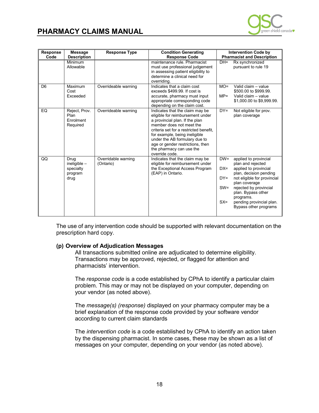

| <b>Response</b><br>Code | <b>Message</b><br><b>Description</b>                   | <b>Response Type</b>             | <b>Condition Generating</b><br><b>Response Code</b>                                                                                                                                                                                                                                                                             |                                               | <b>Intervention Code by</b><br><b>Pharmacist and Description</b>                                                                                                                                                                                                |
|-------------------------|--------------------------------------------------------|----------------------------------|---------------------------------------------------------------------------------------------------------------------------------------------------------------------------------------------------------------------------------------------------------------------------------------------------------------------------------|-----------------------------------------------|-----------------------------------------------------------------------------------------------------------------------------------------------------------------------------------------------------------------------------------------------------------------|
|                         | Minimum<br>Allowable                                   |                                  | maintenance rule. Pharmacist<br>must use professional judgement<br>in assessing patient eligibility to<br>determine a clinical need for<br>overridina.                                                                                                                                                                          | $DH =$                                        | Rx synchronized<br>pursuant to rule 19                                                                                                                                                                                                                          |
| D <sub>6</sub>          | Maximum<br>Cost<br>Exceeded                            | Overrideable warning             | Indicates that a claim cost<br>exceeds \$499.99. If cost is<br>accurate, pharmacy must input<br>appropriate corresponding code<br>depending on the claim cost.                                                                                                                                                                  | $MO=$<br>$MP =$                               | Valid claim - value<br>\$500.00 to \$999.99.<br>Valid claim - value<br>\$1,000.00 to \$9,999.99.                                                                                                                                                                |
| EQ                      | Reject, Prov.<br>Plan<br>Enrolment<br>Required         | Overrideable warning             | Indicates that the claim may be<br>eligible for reimbursement under<br>a provincial plan. If the plan<br>member does not meet the<br>criteria set for a restricted benefit.<br>for example, being ineligible<br>under the AB formulary due to<br>age or gender restrictions, then<br>the pharmacy can use the<br>override code. | $DY=$                                         | Not eligible for prov.<br>plan coverage                                                                                                                                                                                                                         |
| QQ                      | Drug<br>ineligible $-$<br>specialty<br>program<br>drug | Overridable warning<br>(Ontario) | Indicates that the claim may be<br>eligible for reimbursement under<br>the Exceptional Access Program<br>(EAP) in Ontario.                                                                                                                                                                                                      | $DW =$<br>$DX =$<br>$DY=$<br>$SW =$<br>$SX =$ | applied to provincial<br>plan and rejected<br>applied to provincial<br>plan, decision pending<br>not eligible for provincial<br>plan coverage<br>rejected by provincial<br>plan. Bypass other<br>programs.<br>pending provincial plan.<br>Bypass other programs |

 prescription hard copy. The use of any intervention code should be supported with relevant documentation on the

### **(p) Overview of Adjudication Messages**

 Transactions may be approved, rejected, or flagged for attention and pharmacists' intervention. All transactions submitted online are adjudicated to determine eligibility.

 The *response code* is a code established by CPhA to identify a particular claim problem. This may or may not be displayed on your computer, depending on your vendor (as noted above).

The *message(s) (response)* displayed on your pharmacy computer may be a brief explanation of the response code provided by your software vendor according to current claim standards

 by the dispensing pharmacist. In some cases, these may be shown as a list of messages on your computer, depending on your vendor (as noted above). The *intervention code* is a code established by CPhA to identify an action taken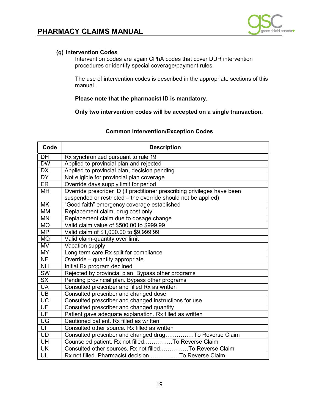

Intervention codes are again CPhA codes that cover DUR intervention procedures or identify special coverage/payment rules.

The use of intervention codes is described in the appropriate sections of this manual.

**Please note that the pharmacist ID is mandatory.** 

**Only two intervention codes will be accepted on a single transaction.** 

### **Common Intervention/Exception Codes**

| Code                              | <b>Description</b>                                                                                        |  |  |  |
|-----------------------------------|-----------------------------------------------------------------------------------------------------------|--|--|--|
| <b>DH</b>                         | Rx synchronized pursuant to rule 19                                                                       |  |  |  |
| <b>DW</b>                         | Applied to provincial plan and rejected                                                                   |  |  |  |
| <b>DX</b>                         | Applied to provincial plan, decision pending                                                              |  |  |  |
| $\overline{DY}$                   | Not eligible for provincial plan coverage                                                                 |  |  |  |
| <b>ER</b>                         | Override days supply limit for period                                                                     |  |  |  |
| MH                                | Override prescriber ID (if practitioner prescribing privileges have been                                  |  |  |  |
|                                   | suspended or restricted - the override should not be applied)                                             |  |  |  |
| <b>MK</b>                         | "Good faith" emergency coverage established                                                               |  |  |  |
| <b>MM</b>                         | Replacement claim, drug cost only                                                                         |  |  |  |
| <b>MN</b>                         | Replacement claim due to dosage change                                                                    |  |  |  |
| <b>MO</b>                         | Valid claim value of \$500.00 to \$999.99                                                                 |  |  |  |
| <b>MP</b>                         | Valid claim of \$1,000.00 to \$9,999.99                                                                   |  |  |  |
| <b>MQ</b>                         | Valid claim-quantity over limit                                                                           |  |  |  |
| <b>MV</b>                         | Vacation supply                                                                                           |  |  |  |
| <b>MY</b>                         | Long term care Rx split for compliance                                                                    |  |  |  |
| <b>NF</b>                         | Override - quantity appropriate                                                                           |  |  |  |
| <b>NH</b>                         | Initial Rx program declined                                                                               |  |  |  |
| SW                                | Rejected by provincial plan. Bypass other programs                                                        |  |  |  |
| <b>SX</b>                         | Pending provincial plan. Bypass other programs                                                            |  |  |  |
| <b>UA</b>                         | Consulted prescriber and filled Rx as written                                                             |  |  |  |
| UB                                | Consulted prescriber and changed dose                                                                     |  |  |  |
| <b>UC</b>                         | Consulted prescriber and changed instructions for use                                                     |  |  |  |
| <b>UE</b>                         | Consulted prescriber and changed quantity                                                                 |  |  |  |
| UF                                | Patient gave adequate explanation. Rx filled as written                                                   |  |  |  |
| $\overline{\mathsf{U}\mathsf{G}}$ | Cautioned patient. Rx filled as written                                                                   |  |  |  |
| UI                                | Consulted other source. Rx filled as written                                                              |  |  |  |
| <b>UD</b>                         |                                                                                                           |  |  |  |
| UH                                | Consulted prescriber and changed drugTo Reverse Claim<br>Counseled patient. Rx not filledTo Reverse Claim |  |  |  |
| <b>UK</b>                         | Consulted other sources. Rx not filledTo Reverse Claim                                                    |  |  |  |
| UL                                | Rx not filled. Pharmacist decision To Reverse Claim                                                       |  |  |  |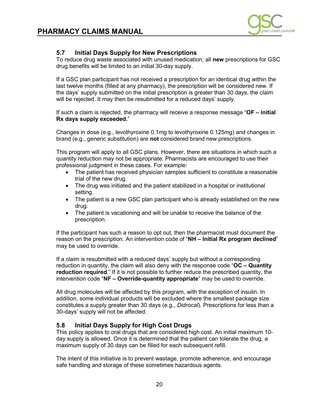

### <span id="page-19-0"></span>**FARMAL EXTLANGING SUPPLY for New Prescriptions**

 To reduce drug waste associated with unused medication; all **new** prescriptions for GSC drug benefits will be limited to an initial 30-day supply.

 last twelve months (filled at any pharmacy), the prescription will be considered new. If the days' supply submitted on the initial prescription is greater than 30 days, the claim will be rejected. It may then be resubmitted for a reduced days' supply. If a GSC plan participant has not received a prescription for an identical drug within the

 If such a claim is rejected, the pharmacy will receive a response message "**OF – initial Rx days supply exceeded.**"

 Changes in dose (e.g., levothyroxine 0.1mg to levothyroxine 0.125mg) and changes in brand (e.g., generic substitution) are **not** considered brand new prescriptions.

 This program will apply to all GSC plans. However, there are situations in which such a professional judgment in these cases. For example: quantity reduction may not be appropriate. Pharmacists are encouraged to use their

- The patient has received physician samples sufficient to constitute a reasonable trial of the new drug.
- The drug was initiated and the patient stabilized in a hospital or institutional setting.
- The patient is a new GSC plan participant who is already established on the new drug.
- The patient is vacationing and will be unable to receive the balance of the prescription.

 If the participant has such a reason to opt out, then the pharmacist must document the reason on the prescription. An intervention code of "**NH – Initial Rx program declined**" may be used to override.

 If a claim is resubmitted with a reduced days' supply but without a corresponding reduction in quantity, the claim will also deny with the response code "**OC – Quantity reduction required**." If it is not possible to further reduce the prescribed quantity, the intervention code "**NF – Override-quantity appropriate**" may be used to override.

All drug molecules will be affected by this program, with the exception of insulin. In addition, some individual products will be excluded where the smallest package size constitutes a supply greater than 30 days (e.g., *Didrocal*). Prescriptions for less than a 30-days' supply will not be affected.

### **5.8 Initial Days Supply for High Cost Drugs**

This policy applies to oral drugs that are considered high cost. An initial maximum 10 day supply is allowed. Once it is determined that the patient can tolerate the drug, a maximum supply of 30 days can be filled for each subsequent refill.

The intent of this initiative is to prevent wastage, promote adherence, and encourage safe handling and storage of these sometimes hazardous agents.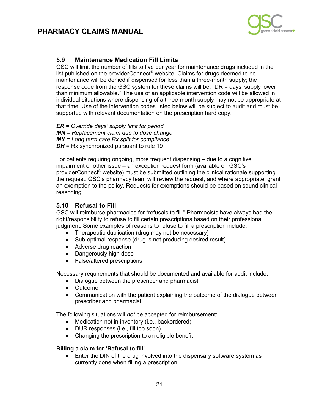

# <span id="page-20-0"></span> **PHARMACY CLAIMS MANUAL 5.9 Maintenance Medication Fill Limits**

GSC will limit the number of fills to five per year for maintenance drugs included in the list published on the providerConnect® website. Claims for drugs deemed to be maintenance will be denied if dispensed for less than a three-month supply; the response code from the GSC system for these claims will be: "DR = days' supply lower than minimum allowable." The use of an applicable intervention code will be allowed in individual situations where dispensing of a three-month supply may not be appropriate at that time. Use of the intervention codes listed below will be subject to audit and must be supported with relevant documentation on the prescription hard copy.

*ER = Override days' supply limit for period MN = Replacement claim due to dose change MY = Long term care Rx split for compliance DH* = Rx synchronized pursuant to rule 19

For patients requiring ongoing, more frequent dispensing – due to a cognitive impairment or other issue – an exception request form (available on GSC's providerConnect® website) must be submitted outlining the clinical rationale supporting the request. GSC's pharmacy team will review the request, and where appropriate, grant an exemption to the policy. Requests for exemptions should be based on sound clinical reasoning.

### **5.10 Refusal to Fill**

 GSC will reimburse pharmacies for "refusals to fill." Pharmacists have always had the judgment. Some examples of reasons to refuse to fill a prescription include: right/responsibility to refuse to fill certain prescriptions based on their professional

- Therapeutic duplication (drug may not be necessary)
- Sub-optimal response (drug is not producing desired result)
- Adverse drug reaction
- Dangerously high dose
- False/altered prescriptions

Necessary requirements that should be documented and available for audit include:

- Dialogue between the prescriber and pharmacist
- $\bullet$ • Outcome
- Communication with the patient explaining the outcome of the dialogue between prescriber and pharmacist

The following situations will *not* be accepted for reimbursement:

- Medication not in inventory (i.e., backordered)
- DUR responses (i.e., fill too soon)
- Changing the prescription to an eligible benefit

### **Billing a claim for 'Refusal to fill'**

 • Enter the DIN of the drug involved into the dispensary software system as currently done when filling a prescription.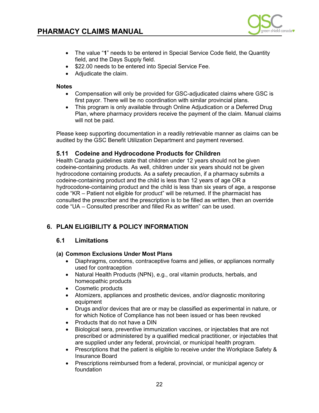

- <span id="page-21-0"></span> • The value "**1**" needs to be entered in Special Service Code field, the Quantity field, and the Days Supply field.
- \$22.00 needs to be entered into Special Service Fee.
- Adjudicate the claim.

### **Notes**

- Compensation will only be provided for GSC-adjudicated claims where GSC is first payor. There will be no coordination with similar provincial plans.
- $\bullet$  Plan, where pharmacy providers receive the payment of the claim. Manual claims • This program is only available through Online Adjudication or a Deferred Drug will not be paid.

 Please keep supporting documentation in a readily retrievable manner as claims can be audited by the GSC Benefit Utilization Department and payment reversed.

### **5.11 Codeine and Hydrocodone Products for Children**

 codeine-containing products. As well, children under six years should not be given hydrocodone containing products. As a safety precaution, if a pharmacy submits a codeine-containing product and the child is less than 12 years of age OR a code "KR – Patient not eligible for product" will be returned. If the pharmacist has consulted the prescriber and the prescription is to be filled as written, then an override code "UA – Consulted prescriber and filled Rx as written" can be used. Health Canada guidelines state that children under 12 years should not be given hydrocodone-containing product and the child is less than six years of age, a response

### **6. PLAN ELIGIBILITY & POLICY INFORMATION**

### **6.1 Limitations**

### **(a) Common Exclusions Under Most Plans**

- Diaphragms, condoms, contraceptive foams and jellies, or appliances normally used for contraception
- • Natural Health Products (NPN), e.g., oral vitamin products, herbals, and homeopathic products
- $\bullet$ Cosmetic products
- $\bullet$ • Atomizers, appliances and prosthetic devices, and/or diagnostic monitoring equipment
- • Drugs and/or devices that are or may be classified as experimental in nature, or for which Notice of Compliance has not been issued or has been revoked
- Products that do not have a DIN
- Biological sera, preventive immunization vaccines, or injectables that are not prescribed or administered by a qualified medical practitioner, or injectables that are supplied under any federal, provincial, or municipal health program.
- • Prescriptions that the patient is eligible to receive under the Workplace Safety & Insurance Board
- Prescriptions reimbursed from a federal, provincial, or municipal agency or foundation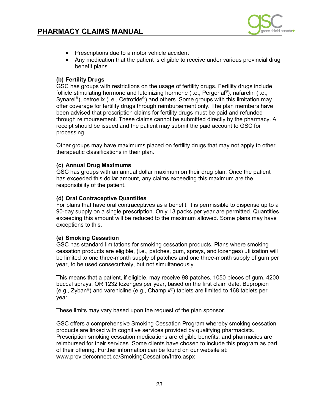

- <span id="page-22-0"></span>• Prescriptions due to a motor vehicle accident
- Any medication that the patient is eligible to receive under various provincial drug benefit plans

### **(b) Fertility Drugs**

GSC has groups with restrictions on the usage of fertility drugs. Fertility drugs include follicle stimulating hormone and luteinizing hormone (i.e., Pergonal®), nafarelin (i.e., Synarel<sup>®</sup>), cetroelix (i.e., Cetrotide<sup>®</sup>) and others. Some groups with this limitation may offer coverage for fertility drugs through reimbursement only. The plan members have been advised that prescription claims for fertility drugs must be paid and refunded through reimbursement. These claims cannot be submitted directly by the pharmacy. A receipt should be issued and the patient may submit the paid account to GSC for processing.

 Other groups may have maximums placed on fertility drugs that may not apply to other therapeutic classifications in their plan.

### **(c) Annual Drug Maximums**

 GSC has groups with an annual dollar maximum on their drug plan. Once the patient has exceeded this dollar amount, any claims exceeding this maximum are the responsibility of the patient.

### **(d) Oral Contraceptive Quantities**

 90-day supply on a single prescription. Only 13 packs per year are permitted. Quantities For plans that have oral contraceptives as a benefit, it is permissible to dispense up to a exceeding this amount will be reduced to the maximum allowed. Some plans may have exceptions to this.

### **(e) Smoking Cessation**

 cessation products are eligible, (i.e., patches, gum, sprays, and lozenges) utilization will be limited to one three-month supply of patches and one three-month supply of gum per GSC has standard limitations for smoking cessation products. Plans where smoking year, to be used consecutively, but not simultaneously.

This means that a patient, if eligible, may receive 98 patches, 1050 pieces of gum, 4200 buccal sprays, OR 1232 lozenges per year, based on the first claim date. Bupropion (e.g., Zyban<sup>®</sup>) and varenicline (e.g., Champix<sup>®</sup>) tablets are limited to 168 tablets per year.

These limits may vary based upon the request of the plan sponsor.

 Prescription smoking cessation medications are eligible benefits, and pharmacies are reimbursed for their services. Some clients have chosen to include this program as part of their offering. Further information can be found on our website at: <www.providerconnect.ca/SmokingCessation/Intro.aspx> 23 GSC offers a comprehensive Smoking Cessation Program whereby smoking cessation products are linked with cognitive services provided by qualifying pharmacists.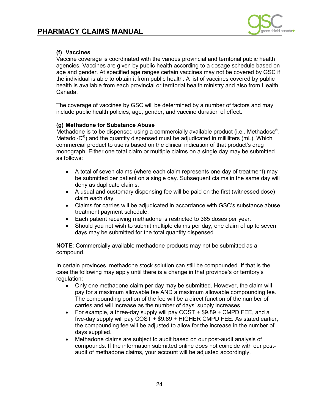

<span id="page-23-0"></span> Vaccine coverage is coordinated with the various provincial and territorial public health agencies. Vaccines are given by public health according to a dosage schedule based on age and gender. At specified age ranges certain vaccines may not be covered by GSC if the individual is able to obtain it from public health. A list of vaccines covered by public health is available from each provincial or territorial health ministry and also from Health Canada.

 The coverage of vaccines by GSC will be determined by a number of factors and may include public health policies, age, gender, and vaccine duration of effect.

### **(g) Methadone for Substance Abuse**

Methadone is to be dispensed using a commercially available product (i.e., Methadose®, Metadol- $D^{\circledast}$ ) and the quantity dispensed must be adjudicated in milliliters (mL). Which commercial product to use is based on the clinical indication of that product's drug monograph. Either one total claim or multiple claims on a single day may be submitted as follows:

- • A total of seven claims (where each claim represents one day of treatment) may be submitted per patient on a single day. Subsequent claims in the same day will deny as duplicate claims.
- • A usual and customary dispensing fee will be paid on the first (witnessed dose) claim each day.
- treatment payment schedule. • Claims for carries will be adjudicated in accordance with GSC's substance abuse
- Each patient receiving methadone is restricted to 365 doses per year.
- • Should you not wish to submit multiple claims per day, one claim of up to seven days may be submitted for the total quantity dispensed.

 **NOTE:** Commercially available methadone products may not be submitted as a compound.

 In certain provinces, methadone stock solution can still be compounded. If that is the case the following may apply until there is a change in that province's or territory's regulation:

- • Only one methadone claim per day may be submitted. However, the claim will The compounding portion of the fee will be a direct function of the number of carries and will increase as the number of days' supply increases. pay for a maximum allowable fee AND a maximum allowable compounding fee.
- • For example, a three-day supply will pay COST + \$9.89 + CMPD FEE, and a the compounding fee will be adjusted to allow for the increase in the number of days supplied. five-day supply will pay COST + \$9.89 + HIGHER CMPD FEE. As stated earlier,
- compounds. If the information submitted online does not coincide with our post-• Methadone claims are subject to audit based on our post-audit analysis of audit of methadone claims, your account will be adjusted accordingly.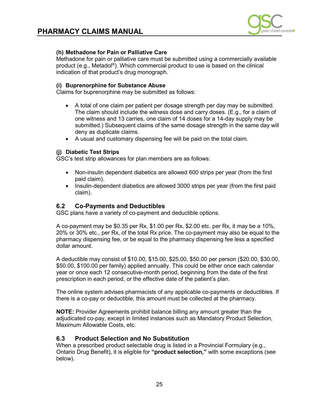

### <span id="page-24-0"></span>**(h) Methadone for Pain or Palliative Care**

Methadone for pain or palliative care must be submitted using a commercially available product (e.g., Metadol<sup>®</sup>). Which commercial product to use is based on the clinical indication of that product's drug monograph.

### **(i) Buprenorphine for Substance Abuse**

Claims for buprenorphine may be submitted as follows:

- • A total of one claim per patient per dosage strength per day may be submitted. The claim should include the witness dose and carry doses. (E.g., for a claim of one witness and 13 carries, one claim of 14 doses for a 14-day supply may be submitted.) Subsequent claims of the same dosage strength in the same day will deny as duplicate claims.
- A usual and customary dispensing fee will be paid on the total claim.

### **(j) Diabetic Test Strips**

GSC's test strip allowances for plan members are as follows:

- Non-insulin dependent diabetics are allowed 600 strips per year (from the first paid claim).
- Insulin-dependent diabetics are allowed 3000 strips per year (from the first paid claim).

### **6.2 Co-Payments and Deductibles**

GSC plans have a variety of co-payment and deductible options.

 A co-payment may be \$0.35 per Rx, \$1.00 per Rx, \$2.00 etc. per Rx, it may be a 10%, 20% or 30% etc., per Rx, of the total Rx price. The co-payment may also be equal to the pharmacy dispensing fee, or be equal to the pharmacy dispensing fee less a specified dollar amount.

 \$50.00, \$100.00 per family) applied annually. This could be either once each calendar year or once each 12 consecutive-month period, beginning from the date of the first prescription in each period, or the effective date of the patient's plan. A deductible may consist of \$10.00, \$15.00, \$25.00, \$50.00 per person (\$20.00, \$30.00,

 The online system advises pharmacists of any applicable co-payments or deductibles. If there is a co-pay or deductible, this amount must be collected at the pharmacy.

 **NOTE:** Provider Agreements prohibit balance billing any amount greater than the adjudicated co-pay, except in limited instances such as Mandatory Product Selection, Maximum Allowable Costs, etc.

### **6.3 Product Selection and No Substitution**

 Ontario Drug Benefit), it is eligible for **"product selection,"** with some exceptions (see When a prescribed product selectable drug is listed in a Provincial Formulary (e.g., below).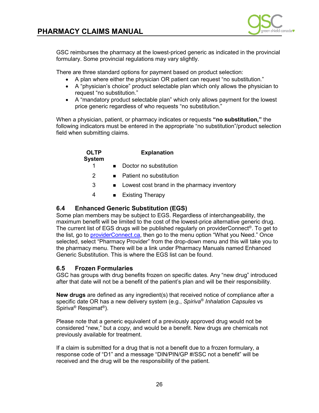

<span id="page-25-0"></span> GSC reimburses the pharmacy at the lowest-priced generic as indicated in the provincial formulary. Some provincial regulations may vary slightly.

There are three standard options for payment based on product selection:

- A plan where either the physician OR patient can request "no substitution."
- • A "physician's choice" product selectable plan which only allows the physician to request "no substitution."
- • A "mandatory product selectable plan" which only allows payment for the lowest price generic regardless of who requests "no substitution."

 When a physician, patient, or pharmacy indicates or requests **"no substitution,"** the following indicators must be entered in the appropriate "no substitution"/product selection field when submitting claims.

| <b>OLTP</b><br>System | <b>Explanation</b>                            |
|-----------------------|-----------------------------------------------|
|                       | Doctor no substitution                        |
| $\mathcal{P}$         | Patient no substitution                       |
| 3                     | • Lowest cost brand in the pharmacy inventory |
| 4                     | <b>Existing Therapy</b>                       |

### **6.4 Enhanced Generic Substitution (EGS)**

Some plan members may be subject to EGS. Regardless of interchangeability, the maximum benefit will be limited to the cost of the lowest-price alternative generic drug. The current list of EGS drugs will be published regularly on providerConnect®. To get to the list, go to [providerConnect.ca,](http://providerconnect.ca/) then go to the menu option "What you Need." Once selected, select "Pharmacy Provider" from the drop-down menu and this will take you to the pharmacy menu. There will be a link under Pharmacy Manuals named Enhanced Generic Substitution. This is where the EGS list can be found.

### **6.5 Frozen Formularies**

 GSC has groups with drug benefits frozen on specific dates. Any "new drug" introduced after that date will not be a benefit of the patient's plan and will be their responsibility.

**New drugs** are defined as any ingredient(s) that received notice of compliance after a specific date OR has a new delivery system (e.g., *Spiriva® Inhalation Capsules* vs Spiriva® Respimat®).

 considered "new," but a *copy*, and would be a benefit. New drugs are chemicals not Please note that a generic equivalent of a previously approved drug would not be previously available for treatment.

 response code of "D1" and a message "DIN/PIN/GP #/SSC not a benefit" will be If a claim is submitted for a drug that is not a benefit due to a frozen formulary, a received and the drug will be the responsibility of the patient.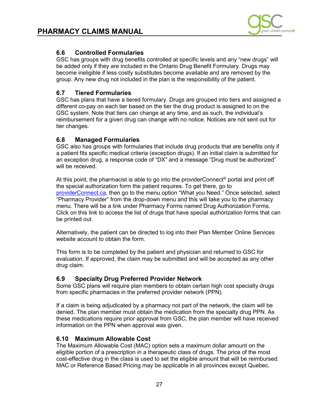

<span id="page-26-0"></span> GSC has groups with drug benefits controlled at specific levels and any "new drugs" will be added only if they are included in the Ontario Drug Benefit Formulary. Drugs may group. Any new drug not included in the plan is the responsibility of the patient. become ineligible if less costly substitutes become available and are removed by the

### **6.7 Tiered Formularies**

 GSC has plans that have a tiered formulary. Drugs are grouped into tiers and assigned a different co-pay on each tier based on the tier the drug product is assigned to on the GSC system. Note that tiers can change at any time, and as such, the individual's reimbursement for a given drug can change with no notice. Notices are not sent out for tier changes.

### **6.8 Managed Formularies**

 GSC also has groups with formularies that include drug products that are benefits only if a patient fits specific medical criteria (exception drugs). If an initial claim is submitted for an exception drug, a response code of "DX" and a message "Drug must be authorized" will be received.

At this point, the pharmacist is able to go into the provider Connect<sup>®</sup> portal and print off the special authorization form the patient requires. To get there, go to [providerConnect.ca,](https://www.providerconnect.ca/) then go to the menu option "What you Need." Once selected, select "Pharmacy Provider" from the drop-down menu and this will take you to the pharmacy menu. There will be a link under Pharmacy Forms named Drug Authorization Forms. Click on this link to access the list of drugs that have special authorization forms that can be printed out.

 Alternatively, the patient can be directed to log into their Plan Member Online Services website account to obtain the form.

 This form is to be completed by the patient and physician and returned to GSC for evaluation. If approved, the claim may be submitted and will be accepted as any other drug claim.

### **6.9 Specialty Drug Preferred Provider Network**

 Some GSC plans will require plan members to obtain certain high cost specialty drugs from specific pharmacies in the preferred provider network (PPN).

 If a claim is being adjudicated by a pharmacy not part of the network, the claim will be denied. The plan member must obtain the medication from the specialty drug PPN. As information on the PPN when approval was given. these medications require prior approval from GSC, the plan member will have received

### **6.10 Maximum Allowable Cost**

 cost-effective drug in the class is used to set the eligible amount that will be reimbursed. The Maximum Allowable Cost (MAC) option sets a maximum dollar amount on the eligible portion of a prescription in a therapeutic class of drugs. The price of the most MAC or Reference Based Pricing may be applicable in all provinces except Quebec.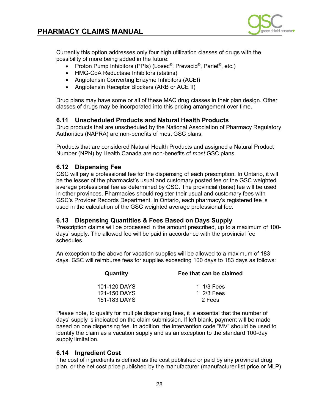

<span id="page-27-0"></span> Currently this option addresses only four high utilization classes of drugs with the possibility of more being added in the future:

- Proton Pump Inhibitors (PPIs) (Losec<sup>®</sup>, Prevacid<sup>®</sup>, Pariet<sup>®</sup>, etc.)
- HMG-CoA Reductase Inhibitors (statins)
- Angiotensin Converting Enzyme Inhibitors (ACEI)
- Angiotensin Receptor Blockers (ARB or ACE II)

 Drug plans may have some or all of these MAC drug classes in their plan design. Other classes of drugs may be incorporated into this pricing arrangement over time.

### **6.11 Unscheduled Products and Natural Health Products**

 Authorities (NAPRA) are non-benefits of most GSC plans. Drug products that are unscheduled by the National Association of Pharmacy Regulatory

 Number (NPN) by Health Canada are non-benefits of *most* GSC plans. Products that are considered Natural Health Products and assigned a Natural Product

### **6.12 Dispensing Fee**

 GSC will pay a professional fee for the dispensing of each prescription. In Ontario, it will average professional fee as determined by GSC. The provincial (base) fee will be used be the lesser of the pharmacist's usual and customary posted fee or the GSC weighted in other provinces. Pharmacies should register their usual and customary fees with GSC's Provider Records Department. In Ontario, each pharmacy's registered fee is used in the calculation of the GSC weighted average professional fee.

### **6.13 Dispensing Quantities & Fees Based on Days Supply**

Prescription claims will be processed in the amount prescribed, up to a maximum of 100 days' supply. The allowed fee will be paid in accordance with the provincial fee schedules.

 An exception to the above for vacation supplies will be allowed to a maximum of 183 days. GSC will reimburse fees for supplies exceeding 100 days to 183 days as follows:

| Fee that can be claimed |
|-------------------------|
| 1 $1/3$ Fees            |
| 1 2/3 Fees              |
| 2 Fees                  |
|                         |

 Please note, to qualify for multiple dispensing fees, it is essential that the number of based on one dispensing fee. In addition, the intervention code "MV" should be used to days' supply is indicated on the claim submission. If left blank, payment will be made identify the claim as a vacation supply and as an exception to the standard 100-day supply limitation.

### **6.14 Ingredient Cost**

 The cost of ingredients is defined as the cost published or paid by any provincial drug plan, or the net cost price published by the manufacturer (manufacturer list price or MLP)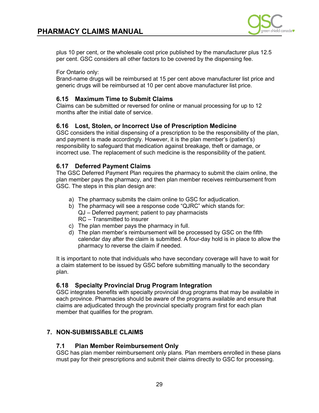

<span id="page-28-0"></span> per cent. GSC considers all other factors to be covered by the dispensing fee. plus 10 per cent, or the wholesale cost price published by the manufacturer plus 12.5

For Ontario only:

 Brand-name drugs will be reimbursed at 15 per cent above manufacturer list price and generic drugs will be reimbursed at 10 per cent above manufacturer list price.

### **6.15 Maximum Time to Submit Claims**

 Claims can be submitted or reversed for online or manual processing for up to 12 months after the initial date of service.

### **6.16 Lost, Stolen, or Incorrect Use of Prescription Medicine**

 GSC considers the initial dispensing of a prescription to be the responsibility of the plan, responsibility to safeguard that medication against breakage, theft or damage, or and payment is made accordingly. However, it is the plan member's (patient's) incorrect use. The replacement of such medicine is the responsibility of the patient.

### **6.17 Deferred Payment Claims**

 plan member pays the pharmacy, and then plan member receives reimbursement from The GSC Deferred Payment Plan requires the pharmacy to submit the claim online, the GSC. The steps in this plan design are:

- a) The pharmacy submits the claim online to GSC for adjudication.
- b) The pharmacy will see a response code "QJRC" which stands for: QJ – Deferred payment; patient to pay pharmacists RC – Transmitted to insurer
- c) The plan member pays the pharmacy in full.
- d) The plan member's reimbursement will be processed by GSC on the fifth pharmacy to reverse the claim if needed. calendar day after the claim is submitted. A four-day hold is in place to allow the

 It is important to note that individuals who have secondary coverage will have to wait for a claim statement to be issued by GSC before submitting manually to the secondary plan.

### **6.18 Specialty Provincial Drug Program Integration**

 GSC integrates benefits with specialty provincial drug programs that may be available in claims are adjudicated through the provincial specialty program first for each plan each province. Pharmacies should be aware of the programs available and ensure that member that qualifies for the program.

### **7. NON-SUBMISSABLE CLAIMS**

### **7.1 Plan Member Reimbursement Only**

 GSC has plan member reimbursement only plans. Plan members enrolled in these plans must pay for their prescriptions and submit their claims directly to GSC for processing.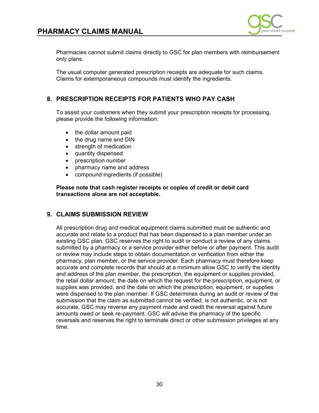

<span id="page-29-0"></span>only plans. Pharmacies cannot submit claims directly to GSC for plan members with reimbursement

only plans.<br>The usual computer generated prescription receipts are adequate for such claims. Claims for extemporaneous compounds must identify the ingredients.

### **8. PRESCRIPTION RECEIPTS FOR PATIENTS WHO PAY CASH**

 To assist your customers when they submit your prescription receipts for processing, please provide the following information:

- $\bullet$ the dollar amount paid
- $\bullet$ • the drug name and DIN
- $\bullet$ strength of medication
- quantity dispensed
- $\bullet$ • prescription number
- pharmacy name and address
- compound ingredients (if possible)

**Please note that cash register receipts or copies of credit or debit card transactions alone are not acceptable.** 

### **9. CLAIMS SUBMISSION REVIEW**

 existing GSC plan. GSC reserves the right to audit or conduct a review of any claims pharmacy, plan member, or the service provider. Each pharmacy must therefore keep accurate and complete records that should at a minimum allow GSC to verify the identity and address of the plan member, the prescription, the equipment or supplies provided, the retail dollar amount, the date on which the request for the prescription, equipment, or supplies was provided, and the date on which the prescription, equipment, or supplies were dispensed to the plan member. If GSC determines during an audit or review of the accurate, GSC may reverse any payment made and credit the reversal against future amounts owed or seek re-payment. GSC will advise the pharmacy of the specific All prescription drug and medical equipment claims submitted must be authentic and accurate and relate to a product that has been dispensed to a plan member under an submitted by a pharmacy or a service provider either before or after payment. This audit or review may include steps to obtain documentation or verification from either the submission that the claim as submitted cannot be verified, is not authentic, or is not reversals and reserves the right to terminate direct or other submission privileges at any time.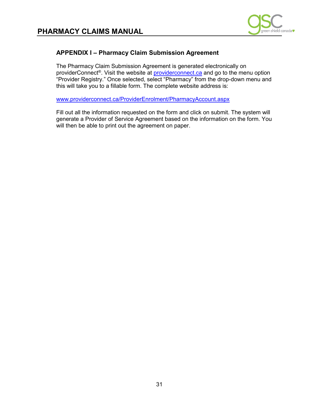

## <span id="page-30-0"></span> **PHARMACY CLAIMS MANUAL APPENDIX I – Pharmacy Claim Submission Agreement**

The Pharmacy Claim Submission Agreement is generated electronically on providerConnect®. Visit the website at [providerconnect.ca](http://providerconnect.ca/) and go to the menu option "Provider Registry." Once selected, select "Pharmacy" from the drop-down menu and this will take you to a fillable form. The complete website address is:

[www.providerconnect.ca/ProviderEnrolment/PharmacyAccount.aspx](http://www.providerconnect.ca/ProviderEnrolment/PharmacyAccount.aspx) 

 Fill out all the information requested on the form and click on submit. The system will generate a Provider of Service Agreement based on the information on the form. You will then be able to print out the agreement on paper.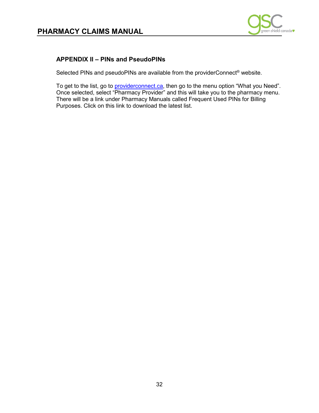

# <span id="page-31-0"></span>**PHARMACY CLAIMS MANUAL<br>
APPENDIX II – PINs and PseudoPINs**

Selected PINs and pseudoPINs are available from the providerConnect<sup>®</sup> website.

To get to the list, go to <u>providerconnect.ca</u>, then go to the menu option "What you Need". Once selected, select "Pharmacy Provider" and this will take you to the pharmacy menu. There will be a link under Pharmacy Manuals called Frequent Used PINs for Billing Purposes. Click on this link to download the latest list. Purposes. Click on this link to download the latest list.<br>
32